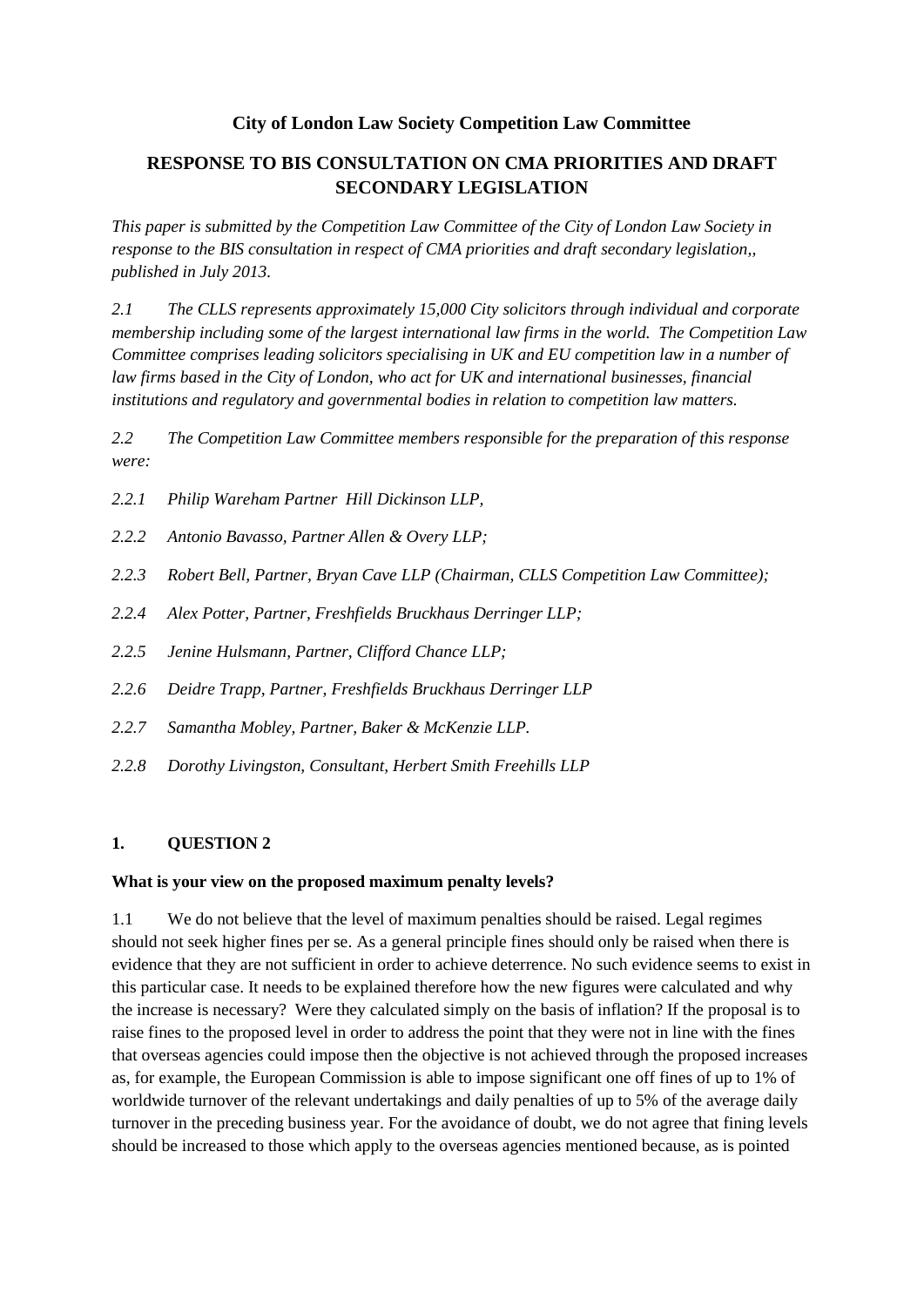## **City of London Law Society Competition Law Committee**

# **RESPONSE TO BIS CONSULTATION ON CMA PRIORITIES AND DRAFT SECONDARY LEGISLATION**

*This paper is submitted by the Competition Law Committee of the City of London Law Society in response to the BIS consultation in respect of CMA priorities and draft secondary legislation,, published in July 2013.*

*2.1 The CLLS represents approximately 15,000 City solicitors through individual and corporate membership including some of the largest international law firms in the world. The Competition Law Committee comprises leading solicitors specialising in UK and EU competition law in a number of law firms based in the City of London, who act for UK and international businesses, financial institutions and regulatory and governmental bodies in relation to competition law matters.* 

*2.2 The Competition Law Committee members responsible for the preparation of this response were:* 

- *2.2.1 Philip Wareham Partner Hill Dickinson LLP,*
- *2.2.2 Antonio Bavasso, Partner Allen & Overy LLP;*
- *2.2.3 Robert Bell, Partner, Bryan Cave LLP (Chairman, CLLS Competition Law Committee);*
- *2.2.4 Alex Potter, Partner, Freshfields Bruckhaus Derringer LLP;*
- *2.2.5 Jenine Hulsmann, Partner, Clifford Chance LLP;*
- *2.2.6 Deidre Trapp, Partner, Freshfields Bruckhaus Derringer LLP*
- *2.2.7 Samantha Mobley, Partner, Baker & McKenzie LLP.*
- *2.2.8 Dorothy Livingston, Consultant, Herbert Smith Freehills LLP*

### **1. QUESTION 2**

#### **What is your view on the proposed maximum penalty levels?**

1.1 We do not believe that the level of maximum penalties should be raised. Legal regimes should not seek higher fines per se. As a general principle fines should only be raised when there is evidence that they are not sufficient in order to achieve deterrence. No such evidence seems to exist in this particular case. It needs to be explained therefore how the new figures were calculated and why the increase is necessary? Were they calculated simply on the basis of inflation? If the proposal is to raise fines to the proposed level in order to address the point that they were not in line with the fines that overseas agencies could impose then the objective is not achieved through the proposed increases as, for example, the European Commission is able to impose significant one off fines of up to 1% of worldwide turnover of the relevant undertakings and daily penalties of up to 5% of the average daily turnover in the preceding business year. For the avoidance of doubt, we do not agree that fining levels should be increased to those which apply to the overseas agencies mentioned because, as is pointed